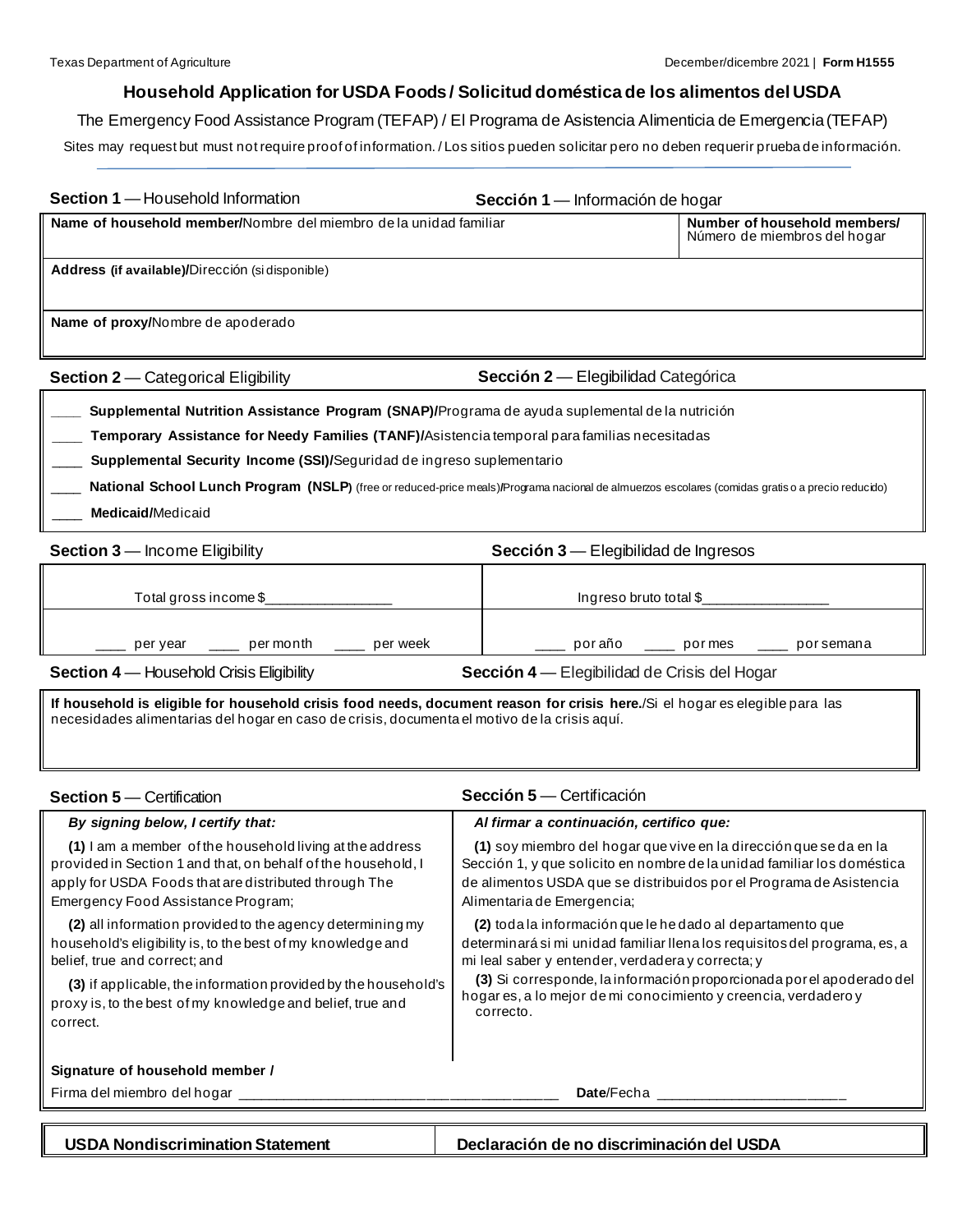## **Household Application for USDA Foods / Solicitud doméstica de los alimentos del USDA**

The Emergency Food Assistance Program (TEFAP) / El Programa de Asistencia Alimenticia de Emergencia (TEFAP) Sites may request but must not require proof of information. / Los sitios pueden solicitar pero no deben requerir prueba de información.

| <b>Section 1</b> — Household Information                                                                                                                                                              | Sección 1 — Información de hogar    |                                                              |
|-------------------------------------------------------------------------------------------------------------------------------------------------------------------------------------------------------|-------------------------------------|--------------------------------------------------------------|
| Name of household member/Nombre del miembro de la unidad familiar                                                                                                                                     |                                     | Number of household members/<br>Número de miembros del hogar |
| Address (if available)/Dirección (si disponible)                                                                                                                                                      |                                     |                                                              |
| Name of proxy/Nombre de apoderado                                                                                                                                                                     |                                     |                                                              |
| <b>Section 2-</b> Categorical Eligibility                                                                                                                                                             | Sección 2 — Elegibilidad Categórica |                                                              |
| Supplemental Nutrition Assistance Program (SNAP)/Programa de ayuda suplemental de la nutrición<br><b>Temporary Assistance for Needy Families (TANF)/Asistencia temporal para familias necesitadas</b> |                                     |                                                              |

\_\_\_\_ **Supplemental Security Income (SSI)/**Seguridad de ingreso suplementario

\_\_\_\_ **National School Lunch Program (NSLP)** (free or reduced-price meals)**/**Programa nacional de almuerzos escolares (comidas gratis o a precio reducido) \_\_\_\_ **Medicaid/**Medicaid

| <b>Section 3</b> – Income Eligibility                                                           | Sección 3 — Elegibilidad de Ingresos |
|-------------------------------------------------------------------------------------------------|--------------------------------------|
| Total gross income \$                                                                           | Ingreso bruto total $$$              |
|                                                                                                 |                                      |
| per month<br>per week<br>per year                                                               | poraño<br>pormes<br>porsemana        |
| <b>Section 4 – Household Crisis Eligibility</b><br>Sección 4 — Elegibilidad de Crisis del Hogar |                                      |

**If household is eligible for household crisis food needs, document reason for crisis here.**/Si el hogar es elegible para las necesidades alimentarias del hogar en caso de crisis, documenta el motivo de la crisis aquí.

| <b>Section 5</b> – Certification                                                                                                                                                                                         | <b>Sección 5</b> — Certificación                                                                                                                                                                                                                   |
|--------------------------------------------------------------------------------------------------------------------------------------------------------------------------------------------------------------------------|----------------------------------------------------------------------------------------------------------------------------------------------------------------------------------------------------------------------------------------------------|
| By signing below, I certify that:                                                                                                                                                                                        | Al firmar a continuación, certifico que:                                                                                                                                                                                                           |
| (1) I am a member of the household living at the address<br>provided in Section 1 and that, on behalf of the household, I<br>apply for USDA Foods that are distributed through The<br>Emergency Food Assistance Program; | (1) soy miembro del hogar que vive en la dirección que se da en la<br>Sección 1, y que solicito en nombre de la unidad familiar los doméstica<br>de alimentos USDA que se distribuidos por el Programa de Asistencia<br>Alimentaria de Emergencia; |
| (2) all information provided to the agency determining my<br>household's eligibility is, to the best of my knowledge and<br>belief, true and correct; and                                                                | (2) toda la información que le he dado al departamento que<br>determinarásimi unidad familiar llena los requisitos del programa, es, a<br>mi leal saber y entender, verdadera y correcta; y                                                        |
| (3) if applicable, the information provided by the household's<br>proxy is, to the best of my knowledge and belief, true and<br>correct.                                                                                 | (3) Si corresponde, la información proporcionada por el apoderado del<br>hogar es, a lo mejor de mi conocimiento y creencia, verdadero y<br>correcto.                                                                                              |
| Signature of household member /                                                                                                                                                                                          |                                                                                                                                                                                                                                                    |
| Firma del miembro del hogar                                                                                                                                                                                              | <b>Date</b> /Fecha                                                                                                                                                                                                                                 |
| <b>USDA Nondiscrimination Statement</b>                                                                                                                                                                                  | Declaración de no discriminación del USDA                                                                                                                                                                                                          |